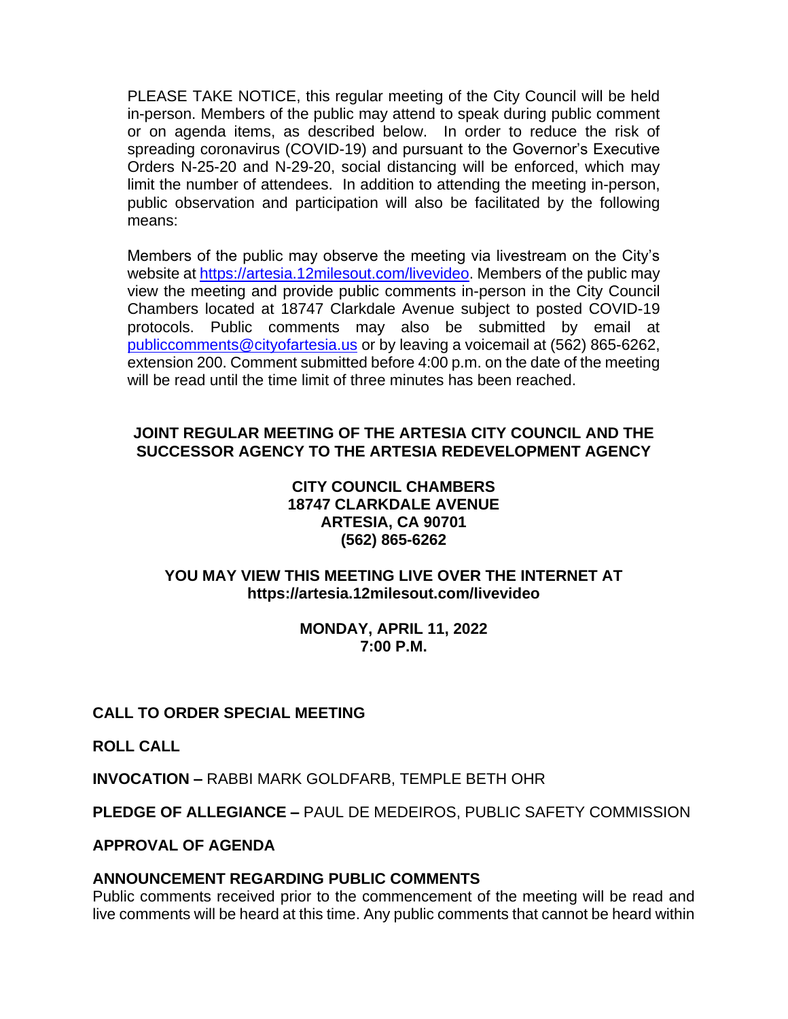PLEASE TAKE NOTICE, this regular meeting of the City Council will be held in-person. Members of the public may attend to speak during public comment or on agenda items, as described below. In order to reduce the risk of spreading coronavirus (COVID-19) and pursuant to the Governor's Executive Orders N-25-20 and N-29-20, social distancing will be enforced, which may limit the number of attendees. In addition to attending the meeting in-person, public observation and participation will also be facilitated by the following means:

Members of the public may observe the meeting via livestream on the City's website at [https://artesia.12milesout.com/livevideo.](https://artesia.12milesout.com/livevideo) Members of the public may view the meeting and provide public comments in-person in the City Council Chambers located at 18747 Clarkdale Avenue subject to posted COVID-19 protocols. Public comments may also be submitted by email at [publiccomments@cityofartesia.us](mailto:publiccomments@cityofartesia.us) or by leaving a voicemail at (562) 865-6262, extension 200. Comment submitted before 4:00 p.m. on the date of the meeting will be read until the time limit of three minutes has been reached.

## **JOINT REGULAR MEETING OF THE ARTESIA CITY COUNCIL AND THE SUCCESSOR AGENCY TO THE ARTESIA REDEVELOPMENT AGENCY**

## **CITY COUNCIL CHAMBERS 18747 CLARKDALE AVENUE ARTESIA, CA 90701 (562) 865-6262**

## **YOU MAY VIEW THIS MEETING LIVE OVER THE INTERNET AT https://artesia.12milesout.com/livevideo**

## **MONDAY, APRIL 11, 2022 7:00 P.M.**

# **CALL TO ORDER SPECIAL MEETING**

**ROLL CALL** 

**INVOCATION –** RABBI MARK GOLDFARB, TEMPLE BETH OHR

**PLEDGE OF ALLEGIANCE –** PAUL DE MEDEIROS, PUBLIC SAFETY COMMISSION

## **APPROVAL OF AGENDA**

# **ANNOUNCEMENT REGARDING PUBLIC COMMENTS**

Public comments received prior to the commencement of the meeting will be read and live comments will be heard at this time. Any public comments that cannot be heard within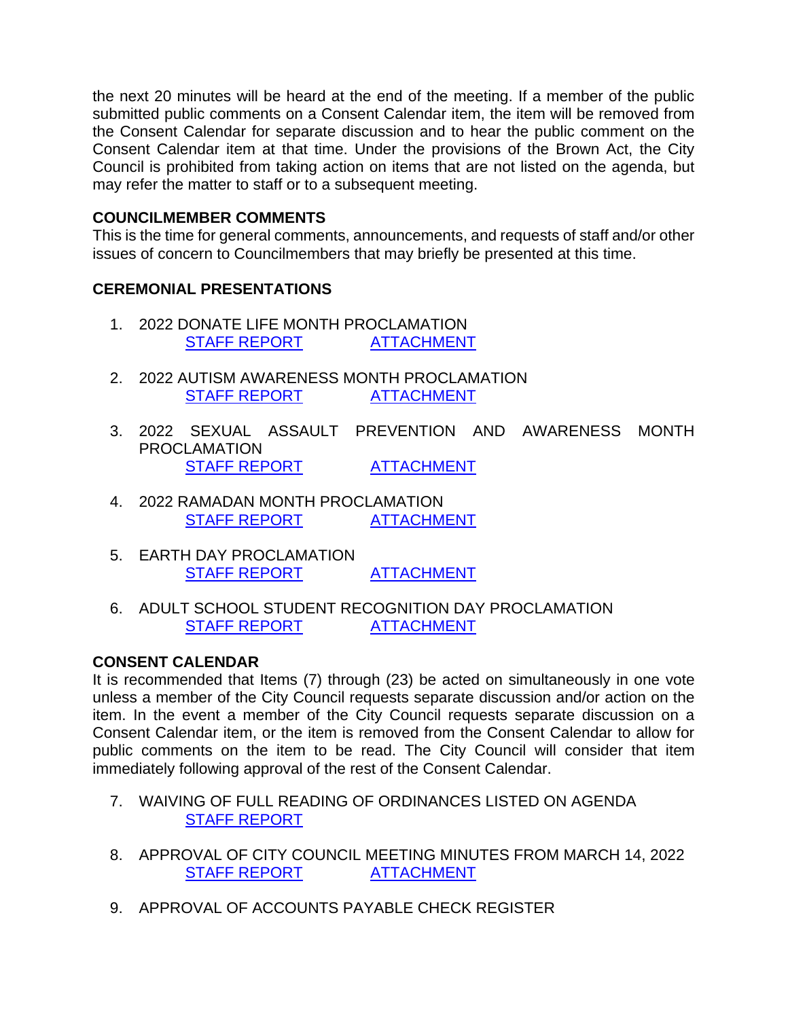the next 20 minutes will be heard at the end of the meeting. If a member of the public submitted public comments on a Consent Calendar item, the item will be removed from the Consent Calendar for separate discussion and to hear the public comment on the Consent Calendar item at that time. Under the provisions of the Brown Act, the City Council is prohibited from taking action on items that are not listed on the agenda, but may refer the matter to staff or to a subsequent meeting.

#### **COUNCILMEMBER COMMENTS**

This is the time for general comments, announcements, and requests of staff and/or other issues of concern to Councilmembers that may briefly be presented at this time.

## **CEREMONIAL PRESENTATIONS**

- 1. 2022 DONATE LIFE MONTH PROCLAMATION [STAFF REPORT](https://www.cityofartesia.us/DocumentCenter/View/5391/1) [ATTACHMENT](https://www.cityofartesia.us/DocumentCenter/View/5390/1--ATTACH)
- 2. 2022 AUTISM AWARENESS MONTH PROCLAMATION [STAFF REPORT](https://www.cityofartesia.us/DocumentCenter/View/5393/2) [ATTACHMENT](https://www.cityofartesia.us/DocumentCenter/View/5392/2---ATTACH)
- 3. 2022 SEXUAL ASSAULT PREVENTION AND AWARENESS MONTH PROCLAMATION [STAFF REPORT](https://www.cityofartesia.us/DocumentCenter/View/5395/3) [ATTACHMENT](https://www.cityofartesia.us/DocumentCenter/View/5394/3--ATTACH)
- 4. 2022 RAMADAN MONTH PROCLAMATION [STAFF REPORT](https://www.cityofartesia.us/DocumentCenter/View/5345/4) [ATTACHMENT](https://www.cityofartesia.us/DocumentCenter/View/5396/4---ATTACH)
- 5. EARTH DAY PROCLAMATION [STAFF REPORT](https://www.cityofartesia.us/DocumentCenter/View/5347/5) [ATTACHMENT](https://www.cityofartesia.us/DocumentCenter/View/5346/5--ATTACH)
- 6. ADULT SCHOOL STUDENT RECOGNITION DAY PROCLAMATION [STAFF REPORT](https://www.cityofartesia.us/DocumentCenter/View/5349/6) [ATTACHMENT](https://www.cityofartesia.us/DocumentCenter/View/5348/6---ATTACH)

### **CONSENT CALENDAR**

It is recommended that Items (7) through (23) be acted on simultaneously in one vote unless a member of the City Council requests separate discussion and/or action on the item. In the event a member of the City Council requests separate discussion on a Consent Calendar item, or the item is removed from the Consent Calendar to allow for public comments on the item to be read. The City Council will consider that item immediately following approval of the rest of the Consent Calendar.

- 7. WAIVING OF FULL READING OF ORDINANCES LISTED ON AGENDA [STAFF REPORT](https://www.cityofartesia.us/DocumentCenter/View/5350/7)
- 8. APPROVAL OF CITY COUNCIL MEETING MINUTES FROM MARCH 14, 2022 [STAFF REPORT](https://www.cityofartesia.us/DocumentCenter/View/5352/8) [ATTACHMENT](https://www.cityofartesia.us/DocumentCenter/View/5351/8---ATTACH)
- 9. APPROVAL OF ACCOUNTS PAYABLE CHECK REGISTER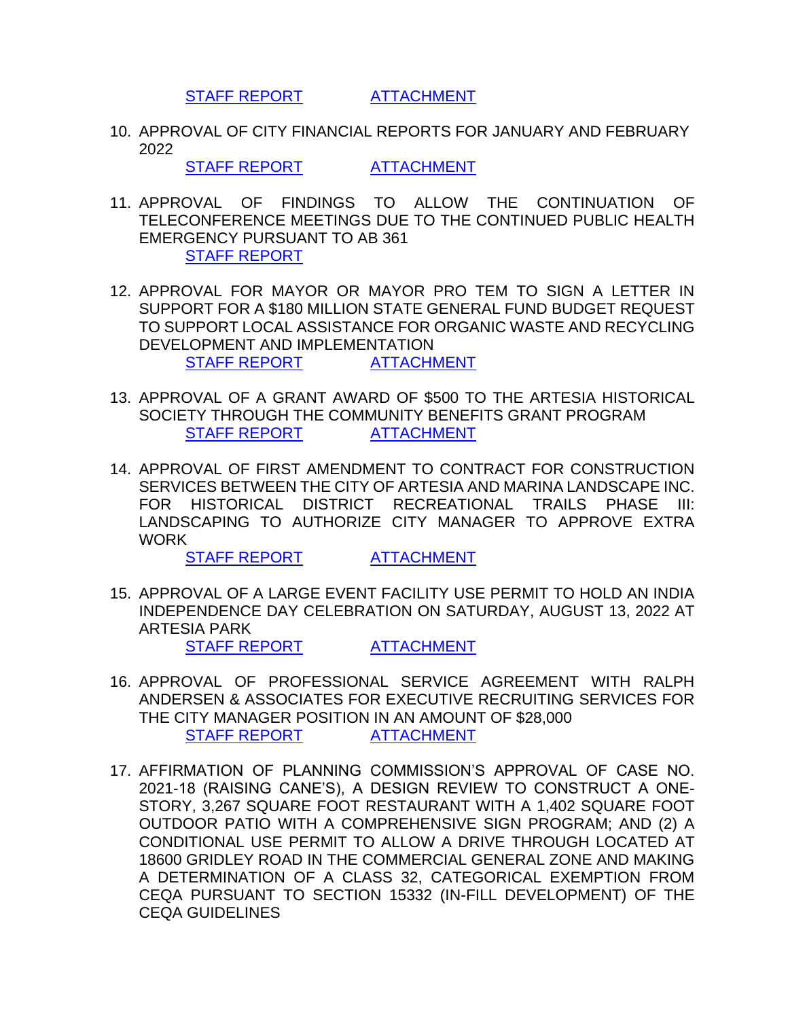[STAFF REPORT](https://www.cityofartesia.us/DocumentCenter/View/5354/9) [ATTACHMENT](https://www.cityofartesia.us/DocumentCenter/View/5353/9---ATTACH)

10. APPROVAL OF CITY FINANCIAL REPORTS FOR JANUARY AND FEBRUARY 2022

[STAFF REPORT](https://www.cityofartesia.us/DocumentCenter/View/5356/10) [ATTACHMENT](https://www.cityofartesia.us/DocumentCenter/View/5355/10---ATTACH)

- 11. APPROVAL OF FINDINGS TO ALLOW THE CONTINUATION OF TELECONFERENCE MEETINGS DUE TO THE CONTINUED PUBLIC HEALTH EMERGENCY PURSUANT TO AB 361 [STAFF REPORT](https://www.cityofartesia.us/DocumentCenter/View/5357/11)
- 12. APPROVAL FOR MAYOR OR MAYOR PRO TEM TO SIGN A LETTER IN SUPPORT FOR A \$180 MILLION STATE GENERAL FUND BUDGET REQUEST TO SUPPORT LOCAL ASSISTANCE FOR ORGANIC WASTE AND RECYCLING DEVELOPMENT AND IMPLEMENTATION [STAFF REPORT](https://www.cityofartesia.us/DocumentCenter/View/5359/12) [ATTACHMENT](https://www.cityofartesia.us/DocumentCenter/View/5358/12---ATTACH)
- 13. APPROVAL OF A GRANT AWARD OF \$500 TO THE ARTESIA HISTORICAL SOCIETY THROUGH THE COMMUNITY BENEFITS GRANT PROGRAM [STAFF REPORT](https://www.cityofartesia.us/DocumentCenter/View/5361/13) [ATTACHMENT](https://www.cityofartesia.us/DocumentCenter/View/5360/13---ATTACH)
- 14. APPROVAL OF FIRST AMENDMENT TO CONTRACT FOR CONSTRUCTION SERVICES BETWEEN THE CITY OF ARTESIA AND MARINA LANDSCAPE INC. FOR HISTORICAL DISTRICT RECREATIONAL TRAILS PHASE III: LANDSCAPING TO AUTHORIZE CITY MANAGER TO APPROVE EXTRA WORK

[STAFF REPORT](https://www.cityofartesia.us/DocumentCenter/View/5363/14) [ATTACHMENT](https://www.cityofartesia.us/DocumentCenter/View/5362/14---ATTACH)

15. APPROVAL OF A LARGE EVENT FACILITY USE PERMIT TO HOLD AN INDIA INDEPENDENCE DAY CELEBRATION ON SATURDAY, AUGUST 13, 2022 AT ARTESIA PARK

[STAFF REPORT](https://www.cityofartesia.us/DocumentCenter/View/5365/15) [ATTACHMENT](https://www.cityofartesia.us/DocumentCenter/View/5364/15---ATTACH)

- 16. APPROVAL OF PROFESSIONAL SERVICE AGREEMENT WITH RALPH ANDERSEN & ASSOCIATES FOR EXECUTIVE RECRUITING SERVICES FOR THE CITY MANAGER POSITION IN AN AMOUNT OF \$28,000 [STAFF REPORT](https://www.cityofartesia.us/DocumentCenter/View/5367/16) [ATTACHMENT](https://www.cityofartesia.us/DocumentCenter/View/5366/16---ATTACH)
- 17. AFFIRMATION OF PLANNING COMMISSION'S APPROVAL OF CASE NO. 2021-18 (RAISING CANE'S), A DESIGN REVIEW TO CONSTRUCT A ONE-STORY, 3,267 SQUARE FOOT RESTAURANT WITH A 1,402 SQUARE FOOT OUTDOOR PATIO WITH A COMPREHENSIVE SIGN PROGRAM; AND (2) A CONDITIONAL USE PERMIT TO ALLOW A DRIVE THROUGH LOCATED AT 18600 GRIDLEY ROAD IN THE COMMERCIAL GENERAL ZONE AND MAKING A DETERMINATION OF A CLASS 32, CATEGORICAL EXEMPTION FROM CEQA PURSUANT TO SECTION 15332 (IN-FILL DEVELOPMENT) OF THE CEQA GUIDELINES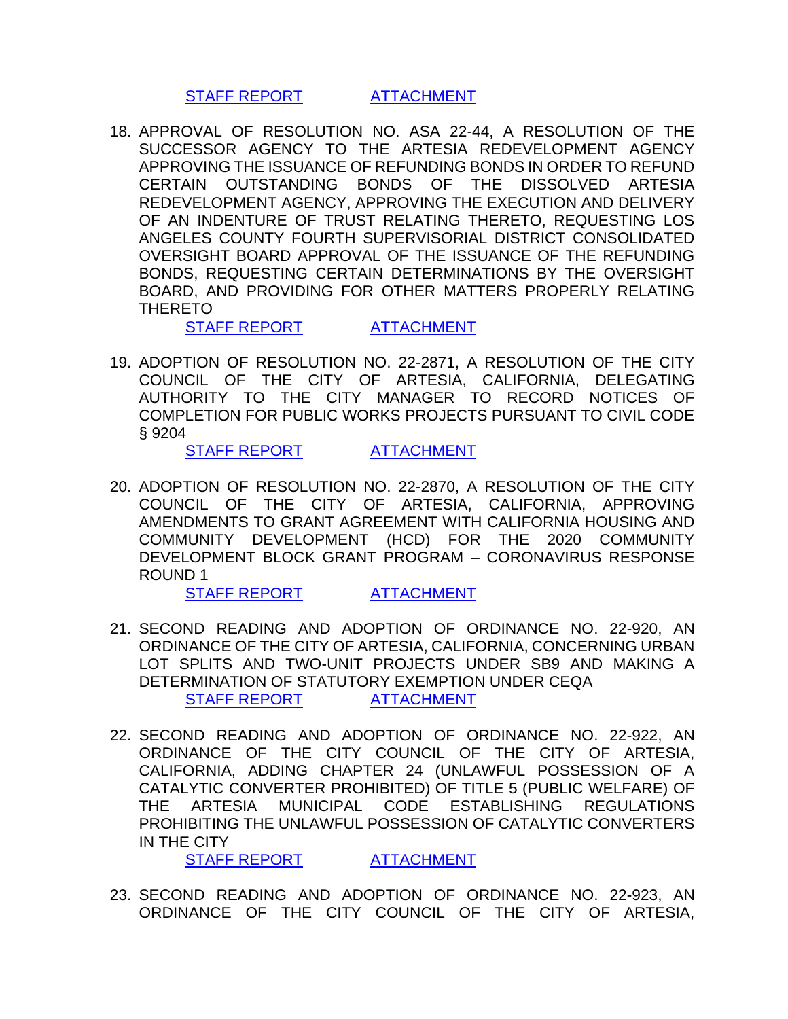[STAFF REPORT](https://www.cityofartesia.us/DocumentCenter/View/5369/17) [ATTACHMENT](https://www.cityofartesia.us/DocumentCenter/View/5368/17---ATTACH)

18. APPROVAL OF RESOLUTION NO. ASA 22-44, A RESOLUTION OF THE SUCCESSOR AGENCY TO THE ARTESIA REDEVELOPMENT AGENCY APPROVING THE ISSUANCE OF REFUNDING BONDS IN ORDER TO REFUND CERTAIN OUTSTANDING BONDS OF THE DISSOLVED ARTESIA REDEVELOPMENT AGENCY, APPROVING THE EXECUTION AND DELIVERY OF AN INDENTURE OF TRUST RELATING THERETO, REQUESTING LOS ANGELES COUNTY FOURTH SUPERVISORIAL DISTRICT CONSOLIDATED OVERSIGHT BOARD APPROVAL OF THE ISSUANCE OF THE REFUNDING BONDS, REQUESTING CERTAIN DETERMINATIONS BY THE OVERSIGHT BOARD, AND PROVIDING FOR OTHER MATTERS PROPERLY RELATING THERETO

[STAFF REPORT](https://www.cityofartesia.us/DocumentCenter/View/5371/18) [ATTACHMENT](https://www.cityofartesia.us/DocumentCenter/View/5370/18---ATTACH)

19. ADOPTION OF RESOLUTION NO. 22-2871, A RESOLUTION OF THE CITY COUNCIL OF THE CITY OF ARTESIA, CALIFORNIA, DELEGATING AUTHORITY TO THE CITY MANAGER TO RECORD NOTICES OF COMPLETION FOR PUBLIC WORKS PROJECTS PURSUANT TO CIVIL CODE § 9204

[STAFF REPORT](https://www.cityofartesia.us/DocumentCenter/View/5373/19) [ATTACHMENT](https://www.cityofartesia.us/DocumentCenter/View/5372/19---ATTACH)

20. ADOPTION OF RESOLUTION NO. 22-2870, A RESOLUTION OF THE CITY COUNCIL OF THE CITY OF ARTESIA, CALIFORNIA, APPROVING AMENDMENTS TO GRANT AGREEMENT WITH CALIFORNIA HOUSING AND COMMUNITY DEVELOPMENT (HCD) FOR THE 2020 COMMUNITY DEVELOPMENT BLOCK GRANT PROGRAM – CORONAVIRUS RESPONSE ROUND 1

[STAFF REPORT](https://www.cityofartesia.us/DocumentCenter/View/5375/20) [ATTACHMENT](https://www.cityofartesia.us/DocumentCenter/View/5374/20---ATTACH)

- 21. SECOND READING AND ADOPTION OF ORDINANCE NO. 22-920, AN ORDINANCE OF THE CITY OF ARTESIA, CALIFORNIA, CONCERNING URBAN LOT SPLITS AND TWO-UNIT PROJECTS UNDER SB9 AND MAKING A DETERMINATION OF STATUTORY EXEMPTION UNDER CEQA [STAFF REPORT](https://www.cityofartesia.us/DocumentCenter/View/5377/21) [ATTACHMENT](https://www.cityofartesia.us/DocumentCenter/View/5376/21---ATTACH)
- 22. SECOND READING AND ADOPTION OF ORDINANCE NO. 22-922, AN ORDINANCE OF THE CITY COUNCIL OF THE CITY OF ARTESIA, CALIFORNIA, ADDING CHAPTER 24 (UNLAWFUL POSSESSION OF A CATALYTIC CONVERTER PROHIBITED) OF TITLE 5 (PUBLIC WELFARE) OF THE ARTESIA MUNICIPAL CODE ESTABLISHING REGULATIONS PROHIBITING THE UNLAWFUL POSSESSION OF CATALYTIC CONVERTERS IN THE CITY

[STAFF REPORT](https://www.cityofartesia.us/DocumentCenter/View/5379/22) [ATTACHMENT](https://www.cityofartesia.us/DocumentCenter/View/5378/22---ATTACH)

23. SECOND READING AND ADOPTION OF ORDINANCE NO. 22-923, AN ORDINANCE OF THE CITY COUNCIL OF THE CITY OF ARTESIA,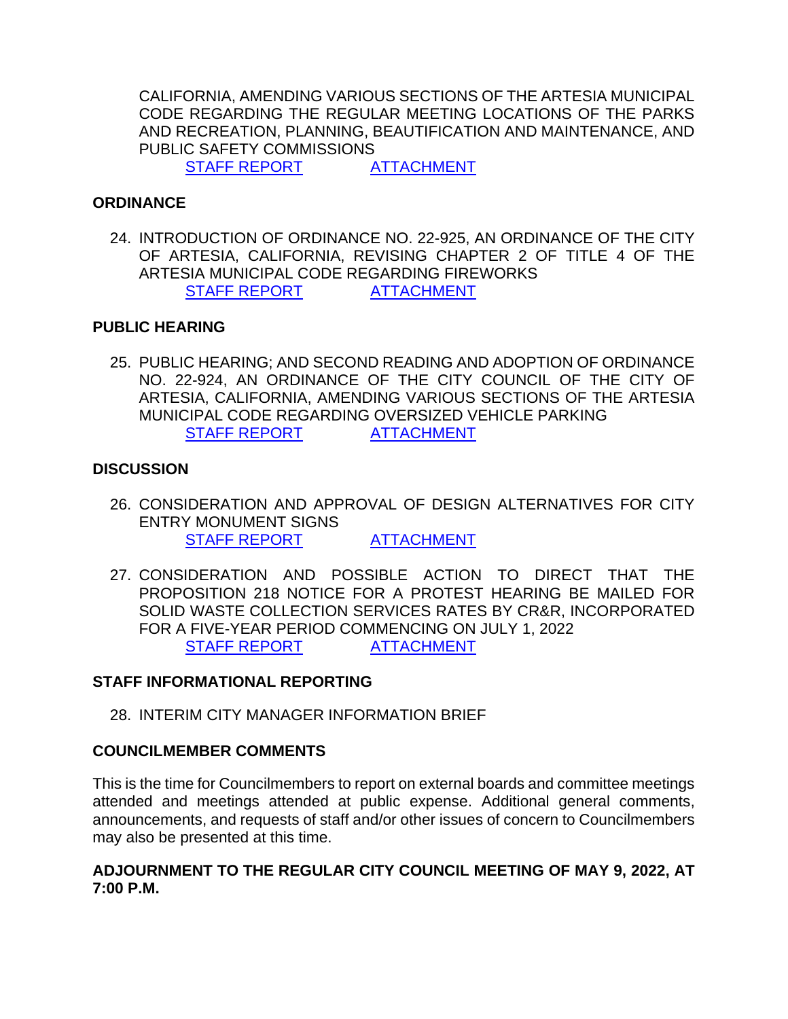CALIFORNIA, AMENDING VARIOUS SECTIONS OF THE ARTESIA MUNICIPAL CODE REGARDING THE REGULAR MEETING LOCATIONS OF THE PARKS AND RECREATION, PLANNING, BEAUTIFICATION AND MAINTENANCE, AND PUBLIC SAFETY COMMISSIONS

[STAFF REPORT](https://www.cityofartesia.us/DocumentCenter/View/5381/23) [ATTACHMENT](https://www.cityofartesia.us/DocumentCenter/View/5380/23---ATTACH)

#### **ORDINANCE**

24. INTRODUCTION OF ORDINANCE NO. 22-925, AN ORDINANCE OF THE CITY OF ARTESIA, CALIFORNIA, REVISING CHAPTER 2 OF TITLE 4 OF THE ARTESIA MUNICIPAL CODE REGARDING FIREWORKS [STAFF REPORT](https://www.cityofartesia.us/DocumentCenter/View/5383/24) [ATTACHMENT](https://www.cityofartesia.us/DocumentCenter/View/5382/24---ATTACH)

#### **PUBLIC HEARING**

25. PUBLIC HEARING; AND SECOND READING AND ADOPTION OF ORDINANCE NO. 22-924, AN ORDINANCE OF THE CITY COUNCIL OF THE CITY OF ARTESIA, CALIFORNIA, AMENDING VARIOUS SECTIONS OF THE ARTESIA MUNICIPAL CODE REGARDING OVERSIZED VEHICLE PARKING [STAFF REPORT](https://www.cityofartesia.us/DocumentCenter/View/5385/25) [ATTACHMENT](https://www.cityofartesia.us/DocumentCenter/View/5384/25---ATTACH)

#### **DISCUSSION**

- 26. CONSIDERATION AND APPROVAL OF DESIGN ALTERNATIVES FOR CITY ENTRY MONUMENT SIGNS [STAFF REPORT](https://www.cityofartesia.us/DocumentCenter/View/5387/26) [ATTACHMENT](https://www.cityofartesia.us/DocumentCenter/View/5386/26---ATTACH)
- 27. CONSIDERATION AND POSSIBLE ACTION TO DIRECT THAT THE PROPOSITION 218 NOTICE FOR A PROTEST HEARING BE MAILED FOR SOLID WASTE COLLECTION SERVICES RATES BY CR&R, INCORPORATED FOR A FIVE-YEAR PERIOD COMMENCING ON JULY 1, 2022 [STAFF REPORT](https://www.cityofartesia.us/DocumentCenter/View/5389/27) [ATTACHMENT](https://www.cityofartesia.us/DocumentCenter/View/5388/27---ATTACH)

### **STAFF INFORMATIONAL REPORTING**

28. INTERIM CITY MANAGER INFORMATION BRIEF

#### **COUNCILMEMBER COMMENTS**

This is the time for Councilmembers to report on external boards and committee meetings attended and meetings attended at public expense. Additional general comments, announcements, and requests of staff and/or other issues of concern to Councilmembers may also be presented at this time.

### **ADJOURNMENT TO THE REGULAR CITY COUNCIL MEETING OF MAY 9, 2022, AT 7:00 P.M.**